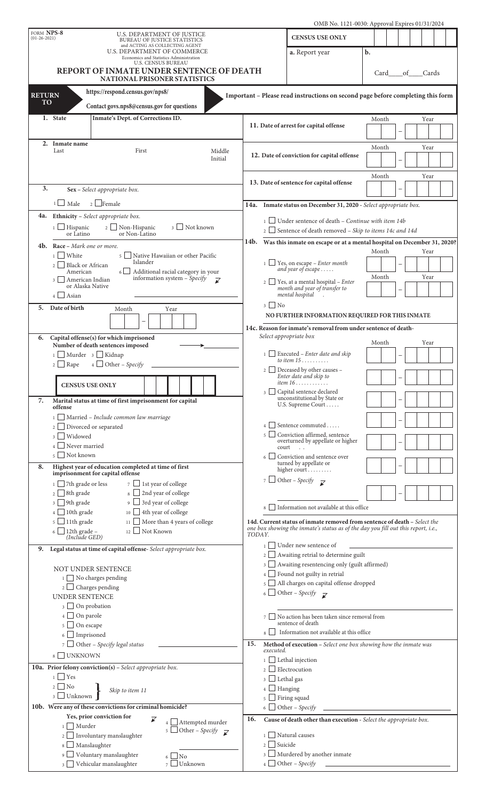|                                                                                                                                      |                                                                                                                                                                                                                                                                                 |                                                                   |                                                                                 | OMB No. 1121-0030: Approval Expires 01/31/2024                                         |                                                                                                                                                                |       |      |          |  |  |
|--------------------------------------------------------------------------------------------------------------------------------------|---------------------------------------------------------------------------------------------------------------------------------------------------------------------------------------------------------------------------------------------------------------------------------|-------------------------------------------------------------------|---------------------------------------------------------------------------------|----------------------------------------------------------------------------------------|----------------------------------------------------------------------------------------------------------------------------------------------------------------|-------|------|----------|--|--|
| FORM NPS-8<br>$(01-26-2021)$                                                                                                         |                                                                                                                                                                                                                                                                                 | U.S. DEPARTMENT OF JUSTICE<br><b>BUREAU OF JUSTICE STATISTICS</b> |                                                                                 |                                                                                        | <b>CENSUS USE ONLY</b>                                                                                                                                         |       |      |          |  |  |
|                                                                                                                                      |                                                                                                                                                                                                                                                                                 | and ACTING AS COLLECTING AGENT<br>U.S. DEPARTMENT OF COMMERCE     |                                                                                 |                                                                                        | a. Report year                                                                                                                                                 | b.    |      |          |  |  |
| Economics and Statistics Administration<br><b>U.S. CENSUS BUREAU</b>                                                                 |                                                                                                                                                                                                                                                                                 |                                                                   |                                                                                 |                                                                                        |                                                                                                                                                                |       |      |          |  |  |
| REPORT OF INMATE UNDER SENTENCE OF DEATH                                                                                             |                                                                                                                                                                                                                                                                                 |                                                                   |                                                                                 |                                                                                        |                                                                                                                                                                | Card  |      | of Cards |  |  |
|                                                                                                                                      |                                                                                                                                                                                                                                                                                 | <b>NATIONAL PRISONER STATISTICS</b>                               |                                                                                 |                                                                                        |                                                                                                                                                                |       |      |          |  |  |
| https://respond.census.gov/nps8/<br><b>RETURN</b><br>Important - Please read instructions on second page before completing this form |                                                                                                                                                                                                                                                                                 |                                                                   |                                                                                 |                                                                                        |                                                                                                                                                                |       |      |          |  |  |
| <b>TO</b><br>Contact govs.nps8@census.gov for questions                                                                              |                                                                                                                                                                                                                                                                                 |                                                                   |                                                                                 |                                                                                        |                                                                                                                                                                |       |      |          |  |  |
| 1. State<br>Inmate's Dept. of Corrections ID.                                                                                        |                                                                                                                                                                                                                                                                                 |                                                                   |                                                                                 |                                                                                        |                                                                                                                                                                |       | Year |          |  |  |
|                                                                                                                                      |                                                                                                                                                                                                                                                                                 |                                                                   |                                                                                 |                                                                                        | 11. Date of arrest for capital offense                                                                                                                         |       |      |          |  |  |
|                                                                                                                                      | 2. Inmate name                                                                                                                                                                                                                                                                  |                                                                   |                                                                                 |                                                                                        |                                                                                                                                                                |       |      |          |  |  |
|                                                                                                                                      | Last                                                                                                                                                                                                                                                                            | First                                                             | Middle                                                                          |                                                                                        | 12. Date of conviction for capital offense                                                                                                                     | Month |      | Year     |  |  |
|                                                                                                                                      | Initial                                                                                                                                                                                                                                                                         |                                                                   |                                                                                 |                                                                                        |                                                                                                                                                                |       |      |          |  |  |
|                                                                                                                                      |                                                                                                                                                                                                                                                                                 |                                                                   |                                                                                 |                                                                                        | Month<br>Year                                                                                                                                                  |       |      |          |  |  |
| 3.<br>Sex - Select appropriate box.                                                                                                  |                                                                                                                                                                                                                                                                                 |                                                                   |                                                                                 | 13. Date of sentence for capital offense                                               |                                                                                                                                                                |       |      |          |  |  |
| $\frac{1}{2}$ Female<br>$1 \Box$ Male                                                                                                |                                                                                                                                                                                                                                                                                 |                                                                   |                                                                                 |                                                                                        |                                                                                                                                                                |       |      |          |  |  |
|                                                                                                                                      |                                                                                                                                                                                                                                                                                 |                                                                   |                                                                                 | 14a. Inmate status on December 31, 2020 - Select appropriate box.                      |                                                                                                                                                                |       |      |          |  |  |
| 4a.                                                                                                                                  |                                                                                                                                                                                                                                                                                 | Ethnicity - Select appropriate box.                               | Under sentence of death $-$ Continue with item 14b<br>$\frac{1}{2}$             |                                                                                        |                                                                                                                                                                |       |      |          |  |  |
| 3 Not known<br>2 Non-Hispanic<br>$1 \Box$ Hispanic<br>or Non-Latino<br>or Latino                                                     |                                                                                                                                                                                                                                                                                 |                                                                   |                                                                                 | 2 Sentence of death removed – Skip to items 14c and 14d                                |                                                                                                                                                                |       |      |          |  |  |
|                                                                                                                                      | 4b. Race - Mark one or more.                                                                                                                                                                                                                                                    |                                                                   | Was this inmate on escape or at a mental hospital on December 31, 2020?<br>14b. |                                                                                        |                                                                                                                                                                |       |      |          |  |  |
|                                                                                                                                      | <b>White</b><br>5 Native Hawaiian or other Pacific<br>$\frac{1}{1}$<br>Islander<br><b>Black or African</b><br>2 <sup>1</sup><br>$6 \Box$<br>Additional racial category in your<br>American<br>information system - Specify<br>3     American Indian<br>$\overline{\mathscr{L}}$ |                                                                   |                                                                                 | Month<br>Year                                                                          |                                                                                                                                                                |       |      |          |  |  |
|                                                                                                                                      |                                                                                                                                                                                                                                                                                 |                                                                   |                                                                                 |                                                                                        | $\Box$ Yes, on escape - Enter month<br>and year of escape                                                                                                      |       |      |          |  |  |
|                                                                                                                                      |                                                                                                                                                                                                                                                                                 |                                                                   |                                                                                 | $\sim$ 2 $\Box$ Yes, at a mental hospital – <i>Enter</i>                               | Month                                                                                                                                                          |       | Year |          |  |  |
|                                                                                                                                      | or Alaska Native<br>$4$ Asian                                                                                                                                                                                                                                                   |                                                                   |                                                                                 |                                                                                        | month and year of transfer to<br>mental hospital                                                                                                               |       |      |          |  |  |
|                                                                                                                                      | 5. Date of birth                                                                                                                                                                                                                                                                |                                                                   |                                                                                 | $_3 \Box$ No                                                                           |                                                                                                                                                                |       |      |          |  |  |
| Year<br>Month                                                                                                                        |                                                                                                                                                                                                                                                                                 |                                                                   |                                                                                 |                                                                                        | NO FURTHER INFORMATION REQUIRED FOR THIS INMATE                                                                                                                |       |      |          |  |  |
|                                                                                                                                      | $\overline{\phantom{0}}$                                                                                                                                                                                                                                                        |                                                                   |                                                                                 |                                                                                        | 14c. Reason for inmate's removal from under sentence of death-                                                                                                 |       |      |          |  |  |
| 6.                                                                                                                                   |                                                                                                                                                                                                                                                                                 | Capital offense(s) for which imprisoned                           |                                                                                 |                                                                                        | Select appropriate box                                                                                                                                         | Month |      | Year     |  |  |
|                                                                                                                                      | $1$ Murder $3$ Kidnap                                                                                                                                                                                                                                                           | Number of death sentences imposed                                 |                                                                                 | $\mathbf{1}$                                                                           | $\Box$ Executed – Enter date and skip                                                                                                                          |       |      |          |  |  |
|                                                                                                                                      | $2 \Box$ Rape                                                                                                                                                                                                                                                                   | $4 \cup$ Other – Specify                                          |                                                                                 |                                                                                        | to item $15$                                                                                                                                                   |       |      |          |  |  |
|                                                                                                                                      |                                                                                                                                                                                                                                                                                 |                                                                   |                                                                                 |                                                                                        | 2 Deceased by other causes -<br>Enter date and skip to                                                                                                         |       |      |          |  |  |
|                                                                                                                                      | <b>CENSUS USE ONLY</b>                                                                                                                                                                                                                                                          |                                                                   |                                                                                 |                                                                                        | <i>item</i> $16$                                                                                                                                               |       |      |          |  |  |
| 7.                                                                                                                                   |                                                                                                                                                                                                                                                                                 | Marital status at time of first imprisonment for capital          |                                                                                 |                                                                                        | 3 Capital sentence declared<br>unconstitutional by State or                                                                                                    |       |      |          |  |  |
|                                                                                                                                      | offense                                                                                                                                                                                                                                                                         |                                                                   |                                                                                 |                                                                                        | U.S. Supreme Court                                                                                                                                             |       |      |          |  |  |
|                                                                                                                                      |                                                                                                                                                                                                                                                                                 | Married - Include common law marriage                             |                                                                                 |                                                                                        |                                                                                                                                                                |       |      |          |  |  |
|                                                                                                                                      | Divorced or separated<br>2 <sub>1</sub><br>Widowed<br>3 <sup>1</sup><br>Never married                                                                                                                                                                                           |                                                                   |                                                                                 | Sentence commuted<br>$\overline{4}$<br>Conviction affirmed, sentence<br>5 <sup>1</sup> |                                                                                                                                                                |       |      |          |  |  |
|                                                                                                                                      |                                                                                                                                                                                                                                                                                 |                                                                   |                                                                                 |                                                                                        | overturned by appellate or higher<br>court<br>$\sim$                                                                                                           |       |      |          |  |  |
| Not known<br>5 <sup>1</sup>                                                                                                          |                                                                                                                                                                                                                                                                                 |                                                                   | Conviction and sentence over<br>turned by appellate or<br>higher court          |                                                                                        |                                                                                                                                                                |       |      |          |  |  |
| 8.<br>Highest year of education completed at time of first                                                                           |                                                                                                                                                                                                                                                                                 |                                                                   |                                                                                 |                                                                                        |                                                                                                                                                                |       |      |          |  |  |
|                                                                                                                                      | imprisonment for capital offense                                                                                                                                                                                                                                                |                                                                   |                                                                                 | 7 Other - Specify $\overline{\mathscr{L}}$                                             |                                                                                                                                                                |       |      |          |  |  |
|                                                                                                                                      | $7 \Box$ 1st year of college<br>$1 \Box$ 7th grade or less<br>8 2nd year of college<br>$2 \Box$ 8th grade                                                                                                                                                                       |                                                                   |                                                                                 |                                                                                        |                                                                                                                                                                |       |      |          |  |  |
|                                                                                                                                      | $3 \Box$ 9th grade<br>$9 \Box$ 3rd year of college                                                                                                                                                                                                                              |                                                                   |                                                                                 |                                                                                        | Information not available at this office                                                                                                                       |       |      |          |  |  |
|                                                                                                                                      | $_4$ 10th grade<br>$_{10}$ 4th year of college                                                                                                                                                                                                                                  |                                                                   |                                                                                 |                                                                                        |                                                                                                                                                                |       |      |          |  |  |
|                                                                                                                                      | $5 \Box$ 11th grade<br>$_{11}$ More than 4 years of college<br>$6 \Box$ 12th grade -<br>$_{12}$ Not Known<br>(Include GED)                                                                                                                                                      |                                                                   |                                                                                 |                                                                                        | 14d. Current status of inmate removed from sentence of death - Select the<br>one box showing the inmate's status as of the day you fill out this report, i.e., |       |      |          |  |  |
|                                                                                                                                      |                                                                                                                                                                                                                                                                                 |                                                                   |                                                                                 |                                                                                        |                                                                                                                                                                |       |      |          |  |  |
| 9.                                                                                                                                   |                                                                                                                                                                                                                                                                                 | Legal status at time of capital offense-Select appropriate box.   |                                                                                 | Under new sentence of<br>$\frac{1}{2}$                                                 |                                                                                                                                                                |       |      |          |  |  |
|                                                                                                                                      |                                                                                                                                                                                                                                                                                 |                                                                   |                                                                                 |                                                                                        | $2 \Box$ Awaiting retrial to determine guilt<br>3 Awaiting resentencing only (guilt affirmed)                                                                  |       |      |          |  |  |
|                                                                                                                                      | NOT UNDER SENTENCE<br>1 No charges pending                                                                                                                                                                                                                                      |                                                                   |                                                                                 |                                                                                        | $4 \Box$ Found not guilty in retrial                                                                                                                           |       |      |          |  |  |
|                                                                                                                                      | $2 \Box$ Charges pending                                                                                                                                                                                                                                                        |                                                                   |                                                                                 | 5 All charges on capital offense dropped                                               |                                                                                                                                                                |       |      |          |  |  |
|                                                                                                                                      | UNDER SENTENCE                                                                                                                                                                                                                                                                  |                                                                   |                                                                                 |                                                                                        | 6 Other - Specify $\overline{\mathscr{L}}$                                                                                                                     |       |      |          |  |  |
|                                                                                                                                      | $\frac{1}{3}$ On probation<br>$\Box$ On parole<br>4 <sup>1</sup><br>5 On escape                                                                                                                                                                                                 |                                                                   |                                                                                 |                                                                                        |                                                                                                                                                                |       |      |          |  |  |
|                                                                                                                                      |                                                                                                                                                                                                                                                                                 |                                                                   |                                                                                 | No action has been taken since removal from<br>7 <sup>1</sup><br>sentence of death     |                                                                                                                                                                |       |      |          |  |  |
|                                                                                                                                      | $6 \Box$ Imprisoned                                                                                                                                                                                                                                                             |                                                                   |                                                                                 | Information not available at this office                                               |                                                                                                                                                                |       |      |          |  |  |
|                                                                                                                                      |                                                                                                                                                                                                                                                                                 | 7 $\Box$ Other - Specify legal status                             |                                                                                 | 15.<br>Method of execution - Select one box showing how the inmate was                 |                                                                                                                                                                |       |      |          |  |  |
|                                                                                                                                      | 8 □ UNKNOWN                                                                                                                                                                                                                                                                     |                                                                   |                                                                                 | executed.                                                                              |                                                                                                                                                                |       |      |          |  |  |
|                                                                                                                                      | 10a. Prior felony conviction(s) - Select appropriate box.                                                                                                                                                                                                                       |                                                                   |                                                                                 | $_1$ Lethal injection<br>$\frac{1}{2}$ Electrocution                                   |                                                                                                                                                                |       |      |          |  |  |
|                                                                                                                                      | $_1 \sqcup$ Yes                                                                                                                                                                                                                                                                 |                                                                   |                                                                                 | $3 \Box$ Lethal gas                                                                    |                                                                                                                                                                |       |      |          |  |  |
| $2 \square$ No<br>Skip to item 11<br>$_3$ $\Box$ Unknown                                                                             |                                                                                                                                                                                                                                                                                 |                                                                   | $4 \Box$ Hanging                                                                |                                                                                        |                                                                                                                                                                |       |      |          |  |  |
|                                                                                                                                      |                                                                                                                                                                                                                                                                                 |                                                                   | $5 \Box$ Firing squad<br>6 Other - Specify                                      |                                                                                        |                                                                                                                                                                |       |      |          |  |  |
| 10b. Were any of these convictions for criminal homicide?<br>Yes, prior conviction for                                               |                                                                                                                                                                                                                                                                                 |                                                                   |                                                                                 |                                                                                        |                                                                                                                                                                |       |      |          |  |  |
| ¥<br>$4 \Box$ Attempted murder<br>$1$ Murder                                                                                         |                                                                                                                                                                                                                                                                                 |                                                                   | 16.<br>Cause of death other than execution - Select the appropriate box.        |                                                                                        |                                                                                                                                                                |       |      |          |  |  |
|                                                                                                                                      | 5 Other - Specify $\overrightarrow{K}$<br>Involuntary manslaughter                                                                                                                                                                                                              |                                                                   |                                                                                 | $_1$ $\Box$ Natural causes                                                             |                                                                                                                                                                |       |      |          |  |  |
|                                                                                                                                      | 8 Manslaughter                                                                                                                                                                                                                                                                  |                                                                   |                                                                                 | $_2$ Suicide                                                                           |                                                                                                                                                                |       |      |          |  |  |
|                                                                                                                                      | 9 Voluntary manslaughter<br>$\Box$ No<br>6 <sup>1</sup>                                                                                                                                                                                                                         |                                                                   |                                                                                 |                                                                                        | $_3$ $\Box$ Murdered by another inmate                                                                                                                         |       |      |          |  |  |
| 3 Vehicular manslaughter<br>$7 \Box$ Unknown                                                                                         |                                                                                                                                                                                                                                                                                 |                                                                   |                                                                                 | $4$ Other - Specify                                                                    |                                                                                                                                                                |       |      |          |  |  |